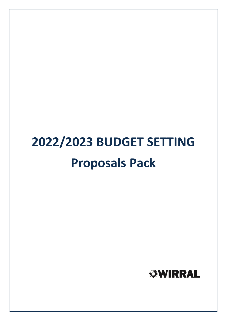# **2022/2023 BUDGET SETTING Proposals Pack**

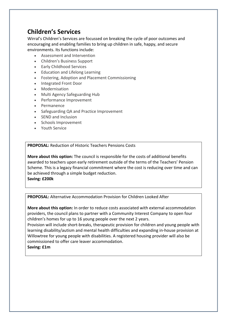# **Children's Services**

Wirral's Children's Services are focussed on breaking the cycle of poor outcomes and encouraging and enabling families to bring up children in safe, happy, and secure environments. Its functions include:

- Assessment and Intervention
- Children's Business Support
- Early Childhood Services
- Education and Lifelong Learning
- Fostering, Adoption and Placement Commissioning
- Integrated Front Door
- Modernisation
- Multi Agency Safeguarding Hub
- Performance Improvement
- Permanence
- Safeguarding QA and Practice Improvement
- SEND and Inclusion
- Schools Improvement
- Youth Service

**PROPOSAL:** Reduction of Historic Teachers Pensions Costs

**More about this option:** The council is responsible for the costs of additional benefits awarded to teachers upon early retirement outside of the terms of the Teachers' Pension Scheme. This is a legacy financial commitment where the cost is reducing over time and can be achieved through a simple budget reduction. **Saving: £200k**

**PROPOSAL:** Alternative Accommodation Provision for Children Looked After

**More about this option:** In order to reduce costs associated with external accommodation providers, the council plans to partner with a Community Interest Company to open four children's homes for up to 16 young people over the next 2 years.

Provision will include short-breaks, therapeutic provision for children and young people with learning disability/autism and mental health difficulties and expanding in-house provision at Willowtree for young people with disabilities. A registered housing provider will also be commissioned to offer care leaver accommodation.

**Saving: £1m**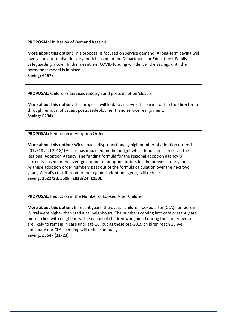#### **PROPOSAL:** Utilisation of Demand Reserve

**More about this option:** This proposal is focused on service demand. A long-term saving will involve an alternative delivery model based on the Department for Education's Family Safeguarding model. In the meantime, COVID funding will deliver the savings until the permanent model is in place.

**Saving: £467k**

**PROPOSAL:** Children's Services redesign and posts deletion/closure

**More about this option:** This proposal will look to achieve efficiencies within the Directorate through removal of vacant posts, redeployment, and service realignment. **Saving**: **£294k**

**PROPOSAL:** Reduction in Adoption Orders.

**More about this option:** Wirral had a disproportionally high number of adoption orders in 2017/18 and 2018/19. This has impacted on the budget which funds the service via the Regional Adoption Agency. The funding formula for the regional adoption agency is currently based on the average number of adoption orders for the previous four years. As these adoption order numbers pass out of the formula calculation over the next two years, Wirral's contribution to the regional adoption agency will reduce. **Saving: 2022/23: £50k 2023/24: £150k**

**PROPOSAL:** Reduction in the Number of Looked After Children

**More about this option:** In recent years, the overall children looked after (CLA) numbers in Wirral were higher than statistical neighbours. The numbers coming into care presently are more in line with neighbours. The cohort of children who joined during the earlier period are likely to remain in care until age 18, but as these pre-2019 children reach 18 we anticipate our CLA spending will reduce annually.

**Saving: £564k (22/23)**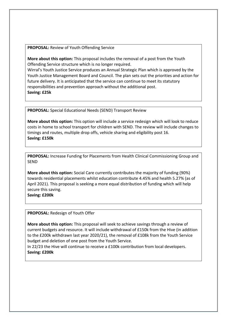**PROPOSAL:** Review of Youth Offending Service

**More about this option:** This proposal includes the removal of a post from the Youth Offending Service structure which is no longer required.

Wirral's Youth Justice Service produces an Annual Strategic Plan which is approved by the Youth Justice Management Board and Council. The plan sets out the priorities and action for future delivery. It is anticipated that the service can continue to meet its statutory responsibilities and prevention approach without the additional post. **Saving: £25k**

**PROPOSAL:** Special Educational Needs (SEND) Transport Review

**More about this option:** This option will include a service redesign which will look to reduce costs in home to school transport for children with SEND. The review will include changes to timings and routes, multiple drop offs, vehicle sharing and eligibility post 16. **Saving: £150k**

**PROPOSAL:** Increase Funding for Placements from Health Clinical Commissioning Group and SEND

**More about this option:** Social Care currently contributes the majority of funding (90%) towards residential placements whilst education contribute 4.45% and health 5.27% (as of April 2021). This proposal is seeking a more equal distribution of funding which will help secure this saving.

**Saving: £200k**

**PROPOSAL:** Redesign of Youth Offer

**More about this option:** This proposal will seek to achieve savings through a review of current budgets and resource. It will include withdrawal of £150k from the Hive (in addition to the £200k withdrawn last year 2020/21), the removal of £108k from the Youth Service budget and deletion of one post from the Youth Service.

In 22/23 the Hive will continue to receive a £100k contribution from local developers. **Saving: £200k**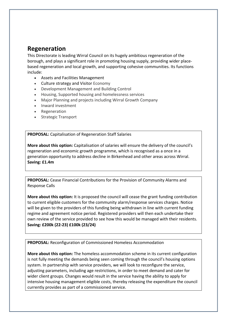## **Regeneration**

This Directorate is leading Wirral Council on its hugely ambitious regeneration of the borough, and plays a significant role in promoting housing supply, providing wider placebased regeneration and local growth, and supporting cohesive communities. Its functions include:

- Assets and Facilities Management
- Culture strategy and Visitor Economy
- Development Management and Building Control
- Housing, Supported housing and homelessness services
- Major Planning and projects including Wirral Growth Company
- Inward investment
- Regeneration
- Strategic Transport

**PROPOSAL:** Capitalisation of Regeneration Staff Salaries

**More about this option:** Capitalisation of salaries will ensure the delivery of the council's regeneration and economic growth programme, which is recognised as a once in a generation opportunity to address decline in Birkenhead and other areas across Wirral. **Saving: £1.4m**

**PROPOSAL:** Cease Financial Contributions for the Provision of Community Alarms and Response Calls

**More about this option:** It is proposed the council will cease the grant funding contribution to current eligible customers for the community alarm/response services charges. Notice will be given to the providers of this funding being withdrawn in line with current funding regime and agreement notice period. Registered providers will then each undertake their own review of the service provided to see how this would be managed with their residents. **Saving: £200k (22-23) £100k (23/24)**

**PROPOSAL:** Reconfiguration of Commissioned Homeless Accommodation

**More about this option:** The homeless accommodation scheme in its current configuration is not fully meeting the demands being seen coming through the council's housing options system. In partnership with service providers, we will look to reconfigure the service, adjusting parameters, including age restrictions, in order to meet demand and cater for wider client groups. Changes would result in the service having the ability to apply for intensive housing management eligible costs, thereby releasing the expenditure the council currently provides as part of a commissioned service.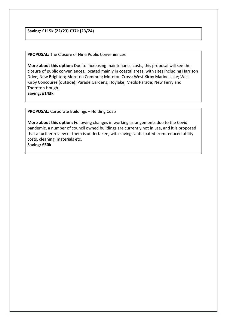**Saving: £115k (22/23) £37k (23/24)**

**PROPOSAL:** The Closure of Nine Public Conveniences

**More about this option:** Due to increasing maintenance costs, this proposal will see the closure of public conveniences, located mainly in coastal areas, with sites including Harrison Drive, New Brighton; Moreton Common; Moreton Cross; West Kirby Marine Lake; West Kirby Concourse (outside); Parade Gardens, Hoylake; Meols Parade; New Ferry and Thornton Hough.

**Saving: £143k**

**PROPOSAL:** Corporate Buildings – Holding Costs

**More about this option:** Following changes in working arrangements due to the Covid pandemic, a number of council owned buildings are currently not in use, and it is proposed that a further review of them is undertaken, with savings anticipated from reduced utility costs, cleaning, materials etc. **Saving: £50k**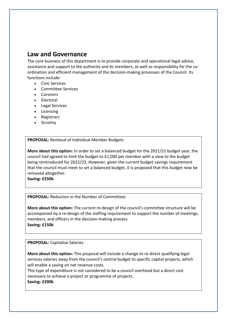## **Law and Governance**

The core business of this department is to provide corporate and operational legal advice, assistance and support to the authority and its members, as well as responsibility for the coordination and efficient management of the decision-making processes of the Council. Its functions include:

- Civic Services
- Committee Services
- Coroners
- Electoral
- Legal Services
- Licensing
- Registrars
- Scrutiny

### **PROPOSAL:** Removal of Individual Member Budgets

**More about this option:** In order to set a balanced budget for the 2021/22 budget year, the council had agreed to limit the budget to £1,000 per member with a view to the budget being reintroduced for 2022/23. However, given the current budget savings requirement that the council must meet to set a balanced budget, it is proposed that this budget now be removed altogether.

**Saving: £250k**

#### **PROPOSAL:** Reduction in the Number of Committees

**More about this option:** The current re-design of the council's committee structure will be accompanied by a re-design of the staffing requirement to support the number of meetings, members, and officers in the decision-making process. **Saving: £150k**

**PROPOSAL:** Capitalise Salaries

**More about this option:** This proposal will include a change to re-direct qualifying legal services salaries away from the council's central budget to specific capital projects, which will enable a saving on net revenue costs.

This type of expenditure is not considered to be a council overhead but a direct cost necessary to achieve a project or programme of projects.

**Saving: £200k**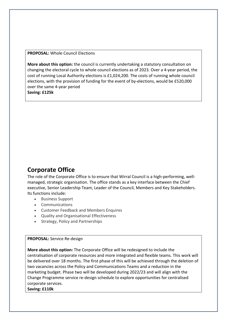**PROPOSAL:** Whole Council Elections

**More about this option:** the council is currently undertaking a statutory consultation on changing the electoral cycle to whole council elections as of 2023. Over a 4-year period, the cost of running Local Authority elections is £1,024,200. The costs of running whole council elections, with the provision of funding for the event of by-elections, would be £520,000 over the same 4-year period **Saving: £125k**

**Corporate Office**

The role of the Corporate Office is to ensure that Wirral Council is a high-performing, wellmanaged, strategic organisation. The office stands as a key interface between the Chief executive, Senior Leadership Team, Leader of the Council, Members and Key Stakeholders. Its functions include:

- Business Support
- Communications
- Customer Feedback and Members Enquires
- Quality and Organisational Effectiveness
- Strategy, Policy and Partnerships

#### **PROPOSAL:** Service Re-design

**More about this option:** The Corporate Office will be redesigned to include the centralisation of corporate resources and more integrated and flexible teams. This work will be delivered over 18 months. The first phase of this will be achieved through the deletion of two vacancies across the Policy and Communications Teams and a reduction in the marketing budget. Phase two will be developed during 2022/23 and will align with the Change Programme service re-design schedule to explore opportunities for centralised corporate services.

**Saving: £110k**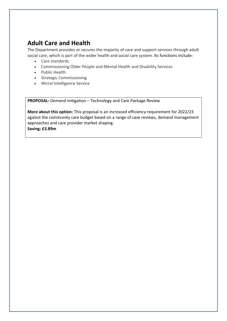## **Adult Care and Health**

The Department provides or secures the majority of care and support services through adult social care, which is part of the wider health and social care system. Its functions include:

- Care standards
- Commissioning Older People and Mental Health and Disability Services
- Public Health
- Strategic Commissioning
- Wirral Intelligence Service

**PROPOSAL:** Demand mitigation – Technology and Care Package Review

**More about this option:** This proposal is an increased efficiency requirement for 2022/23 against the community care budget based on a range of case reviews, demand management approaches and care provider market shaping. **Saving: £3.89m**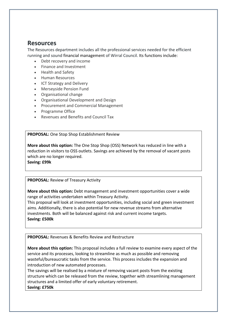## **Resources**

The Resources department includes all the professional services needed for the efficient running and sound financial management of Wirral Council. Its functions include:

- Debt recovery and income
- Finance and Investment
- Health and Safety
- **•** Human Resources
- ICT Strategy and Delivery
- Merseyside Pension Fund
- Organisational change
- Organisational Development and Design
- Procurement and Commercial Management
- Programme Office
- Revenues and Benefits and Council Tax

**PROPOSAL:** One Stop Shop Establishment Review

**More about this option:** The One Stop Shop (OSS) Network has reduced in line with a reduction in visitors to OSS outlets. Savings are achieved by the removal of vacant posts which are no longer required.

**Saving: £99k**

## **PROPOSAL:** Review of Treasury Activity

**More about this option:** Debt management and investment opportunities cover a wide range of activities undertaken within Treasury Activity.

This proposal will look at investment opportunities, including social and green investment aims. Additionally, there is also potential for new revenue streams from alternative investments. Both will be balanced against risk and current income targets. **Saving: £500k**

**PROPOSAL:** Revenues & Benefits Review and Restructure

**More about this option:** This proposal includes a full review to examine every aspect of the service and its processes, looking to streamline as much as possible and removing wasteful/bureaucratic tasks from the service. This process includes the expansion and introduction of new automated processes.

The savings will be realised by a mixture of removing vacant posts from the existing structure which can be released from the review, together with streamlining management structures and a limited offer of early voluntary retirement. **Saving: £750k**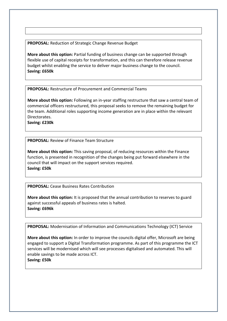**PROPOSAL:** Reduction of Strategic Change Revenue Budget

**More about this option:** Partial funding of business change can be supported through flexible use of capital receipts for transformation, and this can therefore release revenue budget whilst enabling the service to deliver major business change to the council. **Saving: £650k**

**PROPOSAL:** Restructure of Procurement and Commercial Teams

**More about this option:** Following an in-year staffing restructure that saw a central team of commercial officers restructured, this proposal seeks to remove the remaining budget for the team. Additional roles supporting income generation are in place within the relevant Directorates.

**Saving: £230k**

**PROPOSAL:** Review of Finance Team Structure

**More about this option:** This saving proposal, of reducing resources within the Finance function, is presented in recognition of the changes being put forward elsewhere in the council that will impact on the support services required. **Saving: £50k**

**PROPOSAL:** Cease Business Rates Contribution

**More about this option:** It is proposed that the annual contribution to reserves to guard against successful appeals of business rates is halted. **Saving: £696k**

**PROPOSAL:** Modernisation of Information and Communications Technology (ICT) Service

**More about this option:** In order to improve the councils digital offer, Microsoft are being engaged to support a Digital Transformation programme. As part of this programme the ICT services will be modernised which will see processes digitalised and automated. This will enable savings to be made across ICT. **Saving: £50k**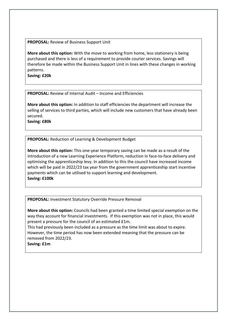**PROPOSAL:** Review of Business Support Unit

**More about this option:** With the move to working from home, less stationery is being purchased and there is less of a requirement to provide courier services. Savings will therefore be made within the Business Support Unit in lines with these changes in working patterns.

**Saving: £20k**

**PROPOSAL:** Review of Internal Audit – Income and Efficiencies

**More about this option:** In addition to staff efficiencies the department will increase the selling of services to third parties, which will include new customers that have already been secured.

**Saving: £80k**

**PROPOSAL:** Reduction of Learning & Development Budget

**More about this option:** This one-year temporary saving can be made as a result of the introduction of a new Learning Experience Platform, reduction in face-to-face delivery and optimising the apprenticeship levy. In addition to this the council have increased income which will be paid in 2022/23 tax year from the government apprenticeship start incentive payments which can be utilised to support learning and development. **Saving: £100k**

**PROPOSAL:** Investment Statutory Override Pressure Removal

**More about this option:** Councils had been granted a time limited special exemption on the way they account for financial investments. If this exemption was not in place, this would present a pressure for the council of an estimated £1m.

This had previously been included as a pressure as the time limit was about to expire. However, the time period has now been extended meaning that the pressure can be removed from 2022/23.

**Saving: £1m**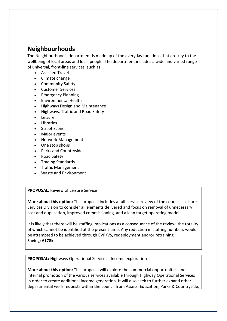# **Neighbourhoods**

The Neighbourhood's department is made up of the everyday functions that are key to the wellbeing of local areas and local people. The department includes a wide and varied range of universal, front-line services, such as:

- Assisted Travel
- Climate change
- Community Safety
- Customer Services
- Emergency Planning
- Environmental Health
- Highways Design and Maintenance
- Highways, Traffic and Road Safety
- Leisure
- Libraries
- Street Scene
- Major events
- Network Management
- One stop shops
- Parks and Countryside
- Road Safety
- Trading Standards
- Traffic Management
- Waste and Environment

**PROPOSAL:** Review of Leisure Service

**More about this option:** This proposal includes a full-service review of the council's Leisure Services Division to consider all elements delivered and focus on removal of unnecessary cost and duplication, improved commissioning, and a lean target operating model.

It is likely that there will be staffing implications as a consequence of the review, the totality of which cannot be identified at the present time. Any reduction in staffing numbers would be attempted to be achieved through EVR/VS, redeployment and/or retraining. **Saving**: **£178k**

**PROPOSAL:** Highways Operational Services - Income exploration

**More about this option:** This proposal will explore the commercial opportunities and internal promotion of the various services available through Highway Operational Services in order to create additional income generation. It will also seek to further expand other departmental work requests within the council from Assets, Education, Parks & Countryside,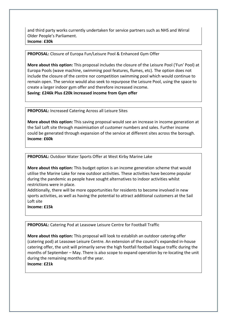and third party works currently undertaken for service partners such as NHS and Wirral Older People's Parliament. **Income**: **£30k**

#### **PROPOSAL:** Closure of Europa Fun/Leisure Pool & Enhanced Gym Offer

**More about this option:** This proposal includes the closure of the Leisure Pool ('Fun' Pool) at Europa Pools (wave machine, swimming pool features, flumes, etc). The option does not include the closure of the centre nor competition swimming pool which would continue to remain open. The service would also seek to repurpose the Leisure Pool, using the space to create a larger indoor gym offer and therefore increased income. **Saving**: **£246k Plus £20k increased income from Gym offer**

**PROPOSAL:** Increased Catering Across all Leisure Sites

**More about this option:** This saving proposal would see an increase in income generation at the Sail Loft site through maximisation of customer numbers and sales. Further income could be generated through expansion of the service at different sites across the borough. **Income**: **£60k**

**PROPOSAL:** Outdoor Water Sports Offer at West Kirby Marine Lake

**More about this option:** This budget option is an income generation scheme that would utilise the Marine Lake for new outdoor activities. These activities have become popular during the pandemic as people have sought alternatives to indoor activities whilst restrictions were in place.

Additionally, there will be more opportunities for residents to become involved in new sports activities, as well as having the potential to attract additional customers at the Sail Loft site

**Income: £15k**

**PROPOSAL:** Catering Pod at Leasowe Leisure Centre for Football Traffic

**More about this option:** This proposal will look to establish an outdoor catering offer (catering pod) at Leasowe Leisure Centre. An extension of the council's expanded in-house catering offer, the unit will primarily serve the high footfall football league traffic during the months of September – May. There is also scope to expand operation by re-locating the unit during the remaining months of the year. **Income**: **£21k**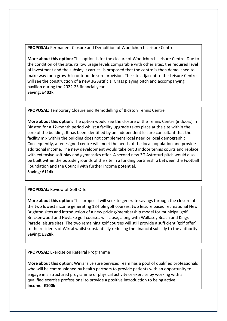**PROPOSAL:** Permanent Closure and Demolition of Woodchurch Leisure Centre

**More about this option:** This option is for the closure of Woodchurch Leisure Centre. Due to the condition of the site, its low usage levels comparable with other sites, the required level of investment and the subsidy it carries, is proposed that the centre is then demolished to make way for a growth in outdoor leisure provision. The site adjacent to the Leisure Centre will see the construction of a new 3G Artificial Grass playing pitch and accompanying pavilion during the 2022-23 financial year. **Saving: £402k**

**PROPOSAL:** Temporary Closure and Remodelling of Bidston Tennis Centre

**More about this option:** The option would see the closure of the Tennis Centre (indoors) in Bidston for a 12-month period whilst a facility upgrade takes place at the site within the core of the building. It has been identified by an independent leisure consultant that the facility mix within the building does not complement local need or local demographic. Consequently, a redesigned centre will meet the needs of the local population and provide additional income. The new development would take out 3 indoor tennis courts and replace with extensive soft play and gymnastics offer. A second new 3G Astroturf pitch would also be built within the outside grounds of the site in a funding partnership between the Football Foundation and the Council with further income potential. **Saving**: **£114k**

**PROPOSAL:** Review of Golf Offer

**More about this option:** This proposal will seek to generate savings through the closure of the two lowest income generating 18-hole golf courses, two leisure based recreational New Brighton sites and introduction of a new pricing/membership model for municipal golf. Brackenwood and Hoylake golf courses will close, along with Wallasey Beach and Kings Parade leisure sites. The two remaining golf courses will still provide a sufficient 'golf offer' to the residents of Wirral whilst substantially reducing the financial subsidy to the authority. **Saving**: **£328k**

## **PROPOSAL:** Exercise on Referral Programme

**More about this option:** Wirral's Leisure Services Team has a pool of qualified professionals who will be commissioned by health partners to provide patients with an opportunity to engage in a structured programme of physical activity or exercise by working with a qualified exercise professional to provide a positive introduction to being active. **Income**: **£100k**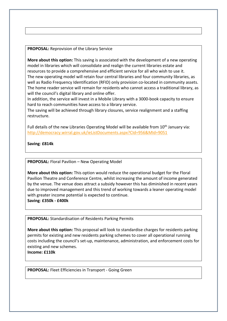**PROPOSAL:** Reprovision of the Library Service

**More about this option:** This saving is associated with the development of a new operating model in libraries which will consolidate and realign the current libraries estate and resources to provide a comprehensive and efficient service for all who wish to use it. The new operating model will retain four central libraries and four community libraries, as well as Radio Frequency Identification (RFID) only provision co-located in community assets. The home reader service will remain for residents who cannot access a traditional library, as will the council's digital library and online offer.

In addition, the service will invest in a Mobile Library with a 3000-book capacity to ensure hard to reach communities have access to a library service.

The saving will be achieved through library closures, service realignment and a staffing restructure.

Full details of the new Libraries Operating Model will be available from  $10<sup>th</sup>$  January via: <http://democracy.wirral.gov.uk/ieListDocuments.aspx?CId=956&MId=9051>

**Saving**: **£814k**

**PROPOSAL:** Floral Pavilion – New Operating Model

**More about this option:** This option would reduce the operational budget for the Floral Pavilion Theatre and Conference Centre, whilst increasing the amount of income generated by the venue. The venue does attract a subsidy however this has diminished in recent years due to improved management and this trend of working towards a leaner operating model with greater income potential is expected to continue. **Saving**: **£350k - £400k**

**PROPOSAL:** Standardisation of Residents Parking Permits

**More about this option:** This proposal will look to standardise charges for residents parking permits for existing and new residents parking schemes to cover all operational running costs including the council's set-up, maintenance, administration, and enforcement costs for existing and new schemes.

**Income: £110k**

**PROPOSAL:** Fleet Efficiencies in Transport - Going Green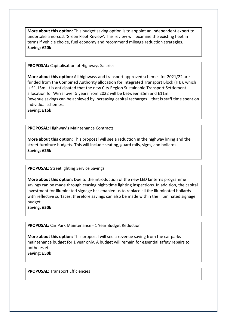**More about this option:** This budget saving option is to appoint an independent expert to undertake a no-cost 'Green Fleet Review'. This review will examine the existing fleet in terms if vehicle choice, fuel economy and recommend mileage reduction strategies. **Saving**: **£20k**

**PROPOSAL:** Capitalisation of Highways Salaries

**More about this option:** All highways and transport approved schemes for 2021/22 are funded from the Combined Authority allocation for Integrated Transport Block (ITB), which is £1.15m. It is anticipated that the new City Region Sustainable Transport Settlement allocation for Wirral over 5 years from 2022 will be between £5m and £11m. Revenue savings can be achieved by increasing capital recharges – that is staff time spent on individual schemes.

**Saving**: **£15k**

**PROPOSAL:** Highway's Maintenance Contracts

**More about this option:** This proposal will see a reduction in the highway lining and the street furniture budgets. This will include seating, guard rails, signs, and bollards. **Saving**: **£25k**

## **PROPOSAL:** Streetlighting Service Savings

**More about this option:** Due to the introduction of the new LED lanterns programme savings can be made through ceasing night-time lighting inspections. In addition, the capital investment for illuminated signage has enabled us to replace all the illuminated bollards with reflective surfaces, therefore savings can also be made within the illuminated signage budget.

**Saving**: **£50k**

**PROPOSAL:** Car Park Maintenance - 1 Year Budget Reduction

**More about this option:** This proposal will see a revenue saving from the car parks maintenance budget for 1 year only. A budget will remain for essential safety repairs to potholes etc. **Saving**: **£50k**

**PROPOSAL:** Transport Efficiencies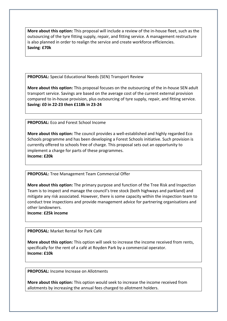**More about this option:** This proposal will include a review of the in-house fleet, such as the outsourcing of the tyre fitting supply, repair, and fitting service. A management restructure is also planned in order to realign the service and create workforce efficiencies. **Saving**: **£70k**

**PROPOSAL:** Special Educational Needs (SEN) Transport Review

**More about this option:** This proposal focuses on the outsourcing of the in-house SEN adult transport service. Savings are based on the average cost of the current external provision compared to in-house provision, plus outsourcing of tyre supply, repair, and fitting service. **Saving: £0 in 22-23 then £118k in 23-24**

**PROPOSAL:** Eco and Forest School Income

**More about this option:** The council provides a well-established and highly regarded Eco Schools programme and has been developing a Forest Schools initiative. Such provision is currently offered to schools free of charge. This proposal sets out an opportunity to implement a charge for parts of these programmes. **Income: £20k**

**PROPOSAL:** Tree Management Team Commercial Offer

**More about this option:** The primary purpose and function of the Tree Risk and Inspection Team is to inspect and manage the council's tree stock (both highways and parkland) and mitigate any risk associated. However, there is some capacity within the inspection team to conduct tree inspections and provide management advice for partnering organisations and other landowners.

**Income**: **£25k income**

**PROPOSAL:** Market Rental for Park Café

**More about this option:** This option will seek to increase the income received from rents, specifically for the rent of a café at Royden Park by a commercial operator. **Income: £10k**

**PROPOSAL:** Income Increase on Allotments

**More about this option:** This option would seek to increase the income received from allotments by increasing the annual fees charged to allotment holders.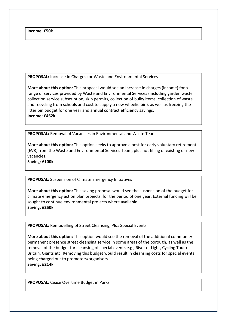**Income**: **£50k**

**PROPOSAL:** Increase in Charges for Waste and Environmental Services

**More about this option:** This proposal would see an increase in charges (income) for a range of services provided by Waste and Environmental Services (including garden waste collection service subscription, skip permits, collection of bulky items, collection of waste and recycling from schools and cost to supply a new wheelie bin), as well as freezing the litter bin budget for one year and annual contract efficiency savings. **Income: £462k**

**PROPOSAL:** Removal of Vacancies in Environmental and Waste Team

**More about this option:** This option seeks to approve a post for early voluntary retirement (EVR) from the Waste and Environmental Services Team, plus not filling of existing or new vacancies.

**Saving**: **£100k**

**PROPOSAL:** Suspension of Climate Emergency Initiatives

**More about this option:** This saving proposal would see the suspension of the budget for climate emergency action plan projects, for the period of one year. External funding will be sought to continue environmental projects where available. **Saving**: **£250k**

**PROPOSAL:** Remodelling of Street Cleansing, Plus Special Events

**More about this option:** This option would see the removal of the additional community permanent presence street cleansing service in some areas of the borough, as well as the removal of the budget for cleansing of special events e.g., River of Light, Cycling Tour of Britain, Giants etc. Removing this budget would result in cleansing costs for special events being charged out to promoters/organisers. **Saving**: **£214k**

**PROPOSAL:** Cease Overtime Budget in Parks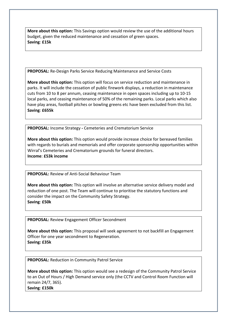**More about this option:** This Savings option would review the use of the additional hours budget, given the reduced maintenance and cessation of green spaces. **Saving**: **£15k**

**PROPOSAL:** Re-Design Parks Service Reducing Maintenance and Service Costs

**More about this option:** This option will focus on service reduction and maintenance in parks. It will include the cessation of public firework displays, a reduction in maintenance cuts from 10 to 8 per annum, ceasing maintenance in open spaces including up to 10-15 local parks, and ceasing maintenance of 50% of the remaining parks. Local parks which also have play areas, football pitches or bowling greens etc have been excluded from this list. **Saving**: **£655k**

**PROPOSAL:** Income Strategy **-** Cemeteries and Crematorium Service

**More about this option:** This option would provide increase choice for bereaved families with regards to burials and memorials and offer corporate sponsorship opportunities within Wirral's Cemeteries and Crematorium grounds for funeral directors. **Income**: **£53k income**

**PROPOSAL:** Review of Anti-Social Behaviour Team

**More about this option:** This option will involve an alternative service delivery model and reduction of one post. The Team will continue to prioritise the statutory functions and consider the impact on the Community Safety Strategy. **Saving**: **£50k**

**PROPOSAL:** Review Engagement Officer Secondment

**More about this option:** This proposal will seek agreement to not backfill an Engagement Officer for one year secondment to Regeneration. **Saving: £35k**

**PROPOSAL:** Reduction in Community Patrol Service

**More about this option:** This option would see a redesign of the Community Patrol Service to an Out of Hours / High Demand service only (the CCTV and Control Room Function will remain 24/7, 365).

**Saving**: **£150k**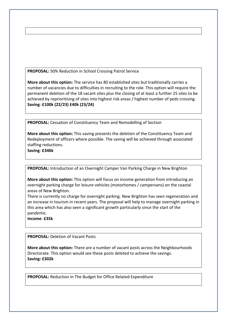**PROPOSAL:** 50% Reduction in School Crossing Patrol Service

**More about this option:** The service has 80 established sites but traditionally carries a number of vacancies due to difficulties in recruiting to the role. This option will require the permanent deletion of the 18 vacant sites plus the closing of at least a further 25 sites to be achieved by reprioritising of sites into highest risk areas / highest number of peds crossing. **Saving**: **£100k (22/23) £40k (23/24)**

**PROPOSAL:** Cessation of Constituency Team and Remodelling of Section

**More about this option:** This saving presents the deletion of the Constituency Team and Redeployment of officers where possible. The saving will be achieved through associated staffing reductions.

**Saving**: **£346k**

**PROPOSAL:** Introduction of an Overnight Camper Van Parking Charge in New Brighton

**More about this option:** This option will focus on income generation from introducing an overnight parking charge for leisure vehicles (motorhomes / campervans) on the coastal areas of New Brighton.

There is currently no charge for overnight parking. New Brighton has seen regeneration and an increase in tourism in recent years. The proposal will help to manage overnight parking in this area which has also seen a significant growth particularly since the start of the pandemic.

**Income**: **£35k**

**PROPOSAL:** Deletion of Vacant Posts

**More about this option:** There are a number of vacant posts across the Neighbourhoods Directorate. This option would see these posts deleted to achieve the savings. **Saving: £302k**

**PROPOSAL:** Reduction in The Budget for Office Related Expenditure